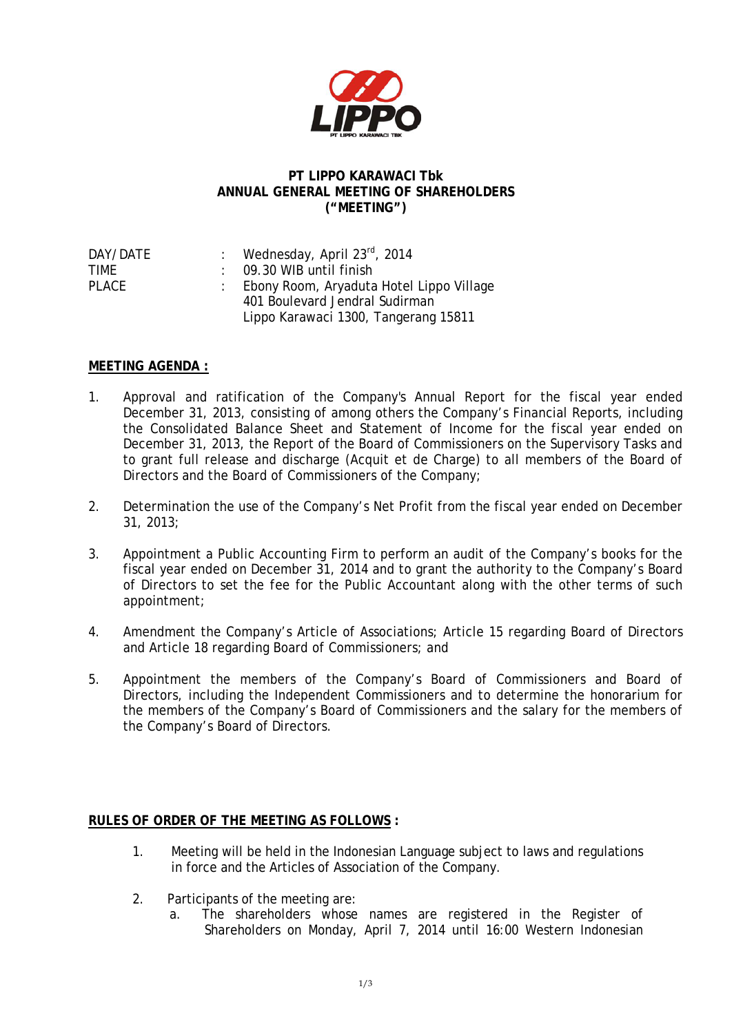

## **PT LIPPO KARAWACI Tbk ANNUAL GENERAL MEETING OF SHAREHOLDERS ("MEETING")**

| : Wednesday, April 23rd, 2014              |
|--------------------------------------------|
| $\therefore$ 09.30 WIB until finish        |
| : Ebony Room, Aryaduta Hotel Lippo Village |
| 401 Boulevard Jendral Sudirman             |
| Lippo Karawaci 1300, Tangerang 15811       |
|                                            |

## **MEETING AGENDA :**

- 1. Approval and ratification of the Company's Annual Report for the fiscal year ended December 31, 2013, consisting of among others the Company's Financial Reports, including the Consolidated Balance Sheet and Statement of Income for the fiscal year ended on December 31, 2013, the Report of the Board of Commissioners on the Supervisory Tasks and to grant full release and discharge (Acquit et de Charge) to all members of the Board of Directors and the Board of Commissioners of the Company;
- 2. Determination the use of the Company's Net Profit from the fiscal year ended on December 31, 2013;
- 3. Appointment a Public Accounting Firm to perform an audit of the Company's books for the fiscal year ended on December 31, 2014 and to grant the authority to the Company's Board of Directors to set the fee for the Public Accountant along with the other terms of such appointment;
- 4. Amendment the Company's Article of Associations; Article 15 regarding Board of Directors and Article 18 regarding Board of Commissioners; and
- 5. Appointment the members of the Company's Board of Commissioners and Board of Directors, including the Independent Commissioners and to determine the honorarium for the members of the Company's Board of Commissioners and the salary for the members of the Company's Board of Directors.

## **RULES OF ORDER OF THE MEETING AS FOLLOWS :**

- 1. Meeting will be held in the Indonesian Language subject to laws and regulations in force and the Articles of Association of the Company.
- 2. Participants of the meeting are:
	- a. The shareholders whose names are registered in the Register of Shareholders on Monday, April 7, 2014 until 16:00 Western Indonesian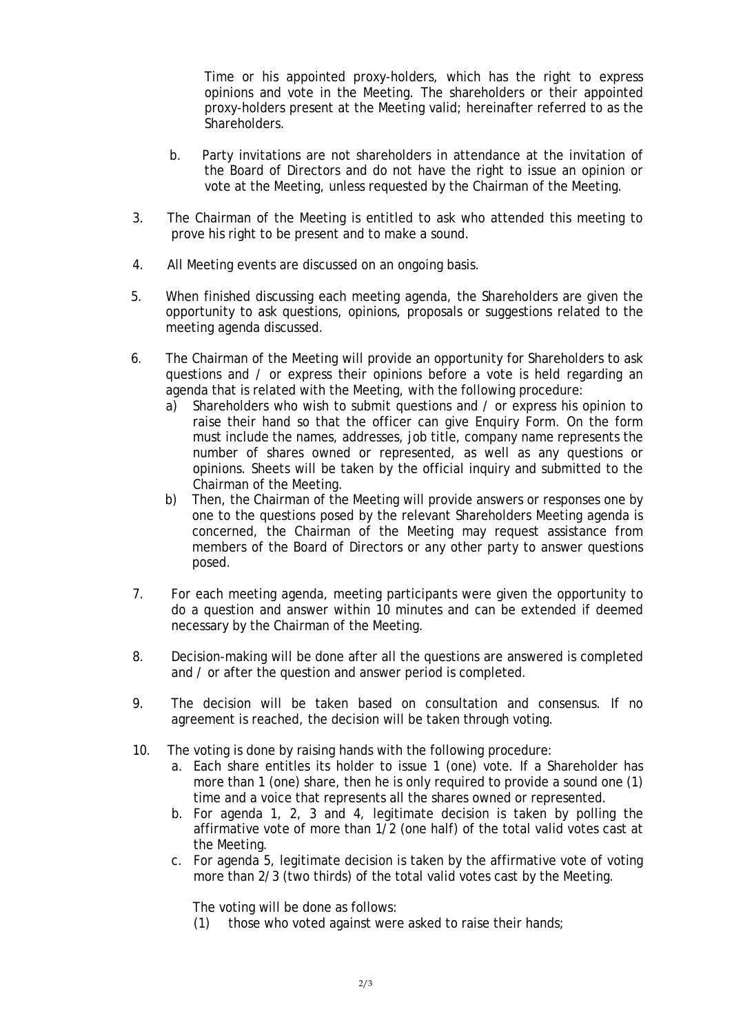Time or his appointed proxy-holders, which has the right to express opinions and vote in the Meeting. The shareholders or their appointed proxy-holders present at the Meeting valid; hereinafter referred to as the Shareholders.

- b. Party invitations are not shareholders in attendance at the invitation of the Board of Directors and do not have the right to issue an opinion or vote at the Meeting, unless requested by the Chairman of the Meeting.
- 3. The Chairman of the Meeting is entitled to ask who attended this meeting to prove his right to be present and to make a sound.
- 4. All Meeting events are discussed on an ongoing basis.
- 5. When finished discussing each meeting agenda, the Shareholders are given the opportunity to ask questions, opinions, proposals or suggestions related to the meeting agenda discussed.
- 6. The Chairman of the Meeting will provide an opportunity for Shareholders to ask questions and / or express their opinions before a vote is held regarding an agenda that is related with the Meeting, with the following procedure:
	- a) Shareholders who wish to submit questions and / or express his opinion to raise their hand so that the officer can give Enquiry Form. On the form must include the names, addresses, job title, company name represents the number of shares owned or represented, as well as any questions or opinions. Sheets will be taken by the official inquiry and submitted to the Chairman of the Meeting.
	- b) Then, the Chairman of the Meeting will provide answers or responses one by one to the questions posed by the relevant Shareholders Meeting agenda is concerned, the Chairman of the Meeting may request assistance from members of the Board of Directors or any other party to answer questions posed.
- 7. For each meeting agenda, meeting participants were given the opportunity to do a question and answer within 10 minutes and can be extended if deemed necessary by the Chairman of the Meeting.
- 8. Decision-making will be done after all the questions are answered is completed and / or after the question and answer period is completed.
- 9. The decision will be taken based on consultation and consensus. If no agreement is reached, the decision will be taken through voting.
- 10. The voting is done by raising hands with the following procedure:
	- a. Each share entitles its holder to issue 1 (one) vote. If a Shareholder has more than 1 (one) share, then he is only required to provide a sound one (1) time and a voice that represents all the shares owned or represented.
	- b. For agenda 1, 2, 3 and 4, legitimate decision is taken by polling the affirmative vote of more than 1/2 (one half) of the total valid votes cast at the Meeting.
	- c. For agenda 5, legitimate decision is taken by the affirmative vote of voting more than 2/3 (two thirds) of the total valid votes cast by the Meeting.

The voting will be done as follows:

(1) those who voted against were asked to raise their hands;